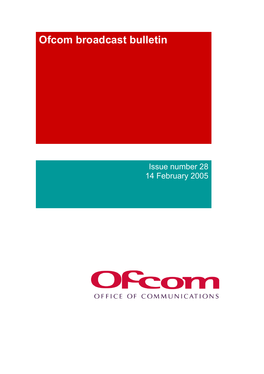# **Ofcom broadcast bulletin**

Issue number 28 14 February 2005

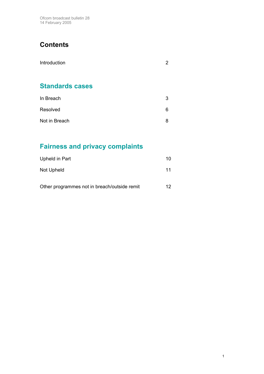Ofcom broadcast bulletin 28 14 February 2005

# **Contents**

| Introduction           | 2 |
|------------------------|---|
| <b>Standards cases</b> |   |
| In Breach              | 3 |
| Resolved               | 6 |

# Not in Breach 8

# **Fairness and privacy complaints**

| Upheld in Part                               | 10  |
|----------------------------------------------|-----|
| Not Upheld                                   | 11  |
| Other programmes not in breach/outside remit | 12. |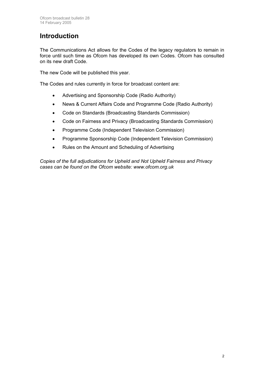# **Introduction**

The Communications Act allows for the Codes of the legacy regulators to remain in force until such time as Ofcom has developed its own Codes. Ofcom has consulted on its new draft Code.

The new Code will be published this year.

The Codes and rules currently in force for broadcast content are:

- Advertising and Sponsorship Code (Radio Authority)
- News & Current Affairs Code and Programme Code (Radio Authority)
- Code on Standards (Broadcasting Standards Commission)
- Code on Fairness and Privacy (Broadcasting Standards Commission)
- Programme Code (Independent Television Commission)
- Programme Sponsorship Code (Independent Television Commission)
- Rules on the Amount and Scheduling of Advertising

*Copies of the full adjudications for Upheld and Not Upheld Fairness and Privacy cases can be found on the Ofcom website: www.ofcom.org.uk*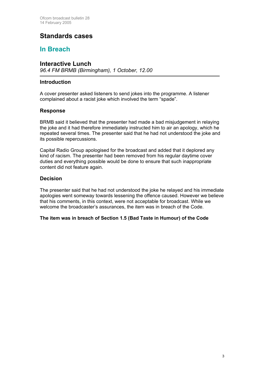## **Standards cases**

### **In Breach**

#### **Interactive Lunch**

*96.4 FM BRMB (Birmingham), 1 October, 12.00*

#### **Introduction**

A cover presenter asked listeners to send jokes into the programme. A listener complained about a racist joke which involved the term "spade".

#### **Response**

BRMB said it believed that the presenter had made a bad misjudgement in relaying the joke and it had therefore immediately instructed him to air an apology, which he repeated several times. The presenter said that he had not understood the joke and its possible repercussions.

Capital Radio Group apologised for the broadcast and added that it deplored any kind of racism. The presenter had been removed from his regular daytime cover duties and everything possible would be done to ensure that such inappropriate content did not feature again.

#### **Decision**

The presenter said that he had not understood the joke he relayed and his immediate apologies went someway towards lessening the offence caused. However we believe that his comments, in this context, were not acceptable for broadcast. While we welcome the broadcaster's assurances, the item was in breach of the Code.

#### **The item was in breach of Section 1.5 (Bad Taste in Humour) of the Code**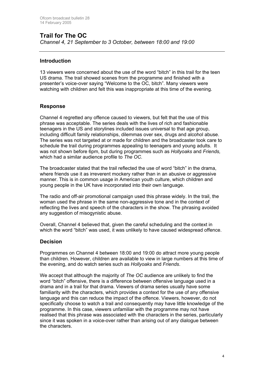#### **Trail for The OC**  *Channel 4, 21 September to 3 October, between 18:00 and 19:00*

#### **Introduction**

13 viewers were concerned about the use of the word "bitch" in this trail for the teen US drama. The trail showed scenes from the programme and finished with a presenter's voice-over saying "Welcome to the OC, bitch". Many viewers were watching with children and felt this was inappropriate at this time of the evening.

#### **Response**

Channel 4 regretted any offence caused to viewers, but felt that the use of this phrase was acceptable. The series deals with the lives of rich and fashionable teenagers in the US and storylines included issues universal to that age group, including difficult family relationships, dilemmas over sex, drugs and alcohol abuse. The series was not targeted at or made for children and the broadcaster took care to schedule the trail during programmes appealing to teenagers and young adults. It was not shown before 6pm, but during programmes such as *Hollyoaks* and *Friends,* which had a similar audience profile to *The OC.* 

The broadcaster stated that the trail reflected the use of word "bitch" in the drama, where friends use it as irreverent mockery rather than in an abusive or aggressive manner. This is in common usage in American youth culture, which children and young people in the UK have incorporated into their own language.

The radio and off-air promotional campaign used this phrase widely. In the trail, the woman used the phrase in the same non-aggressive tone and in the context of reflecting the lives and speech of the characters in the show. The phrasing avoided any suggestion of misogynistic abuse.

Overall, Channel 4 believed that, given the careful scheduling and the context in which the word "bitch" was used, it was unlikely to have caused widespread offence.

#### **Decision**

Programmes on Channel 4 between 18:00 and 19:00 do attract more young people than children. However, children are available to view in large numbers at this time of the evening, and do watch series such as *Hollyoaks* and *Friends*.

We accept that although the majority of *The OC* audience are unlikely to find the word "bitch" offensive, there is a difference between offensive language used in a drama and in a trail for that drama. Viewers of drama series usually have some familiarity with the characters, which provides a context for the use of any offensive language and this can reduce the impact of the offence. Viewers, however, do not specifically choose to watch a trail and consequently may have little knowledge of the programme. In this case, viewers unfamiliar with the programme may not have realised that this phrase was associated with the characters in the series, particularly since it was spoken in a voice-over rather than arising out of any dialogue between the characters.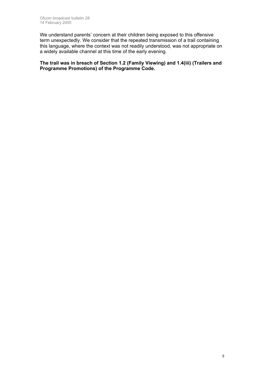We understand parents' concern at their children being exposed to this offensive term unexpectedly. We consider that the repeated transmission of a trail containing this language, where the context was not readily understood, was not appropriate on a widely available channel at this time of the early evening.

**The trail was in breach of Section 1.2 (Family Viewing) and 1.4(iii) (Trailers and Programme Promotions) of the Programme Code.**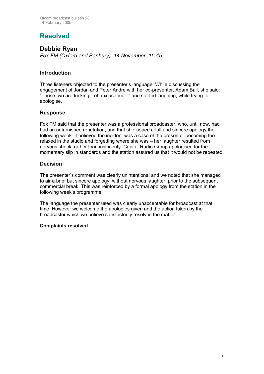# **Resolved**

#### **Debbie Ryan** *Fox FM (Oxford and Banbury), 14 November, 15.45*

#### **Introduction**

Three listeners objected to the presenter's language. While discussing the engagement of Jordan and Peter Andre with her co-presenter, Adam Ball, she said: "Those two are fucking…oh excuse me..." and started laughing, while trying to apologise.

#### **Response**

Fox FM said that the presenter was a professional broadcaster, who, until now, had had an untarnished reputation, and that she issued a full and sincere apology the following week. It believed the incident was a case of the presenter becoming too relaxed in the studio and forgetting where she was – her laughter resulted from nervous shock, rather than insincerity. Capital Radio Group apologised for the momentary slip in standards and the station assured us that it would not be repeated.

#### **Decision**

The presenter's comment was clearly unintentional and we noted that she managed to air a brief but sincere apology, without nervous laughter, prior to the subsequent commercial break. This was reinforced by a formal apology from the station in the following week's programme.

The language the presenter used was clearly unacceptable for broadcast at that time. However we welcome the apologies given and the action taken by the broadcaster which we believe satisfactorily resolves the matter.

#### **Complaints resolved**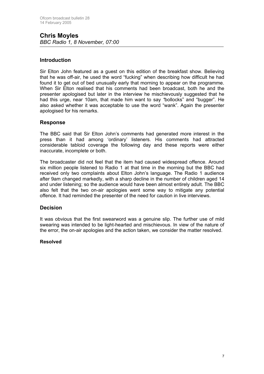#### **Chris Moyles**  *BBC Radio 1, 8 November, 07:00*

#### **Introduction**

Sir Elton John featured as a guest on this edition of the breakfast show. Believing that he was off-air, he used the word "fucking" when describing how difficult he had found it to get out of bed unusually early that morning to appear on the programme. When Sir Elton realised that his comments had been broadcast, both he and the presenter apologised but later in the interview he mischievously suggested that he had this urge, near 10am, that made him want to say *"*bollocks" and "bugger". He also asked whether it was acceptable to use the word "wank". Again the presenter apologised for his remarks.

#### **Response**

The BBC said that Sir Elton John's comments had generated more interest in the press than it had among 'ordinary' listeners. His comments had attracted considerable tabloid coverage the following day and these reports were either inaccurate, incomplete or both.

The broadcaster did not feel that the item had caused widespread offence. Around six million people listened to Radio 1 at that time in the morning but the BBC had received only two complaints about Elton John's language. The Radio 1 audience after 9am changed markedly, with a sharp decline in the number of children aged 14 and under listening; so the audience would have been almost entirely adult. The BBC also felt that the two on-air apologies went some way to mitigate any potential offence. It had reminded the presenter of the need for caution in live interviews.

#### **Decision**

It was obvious that the first swearword was a genuine slip. The further use of mild swearing was intended to be light-hearted and mischievous. In view of the nature of the error, the on-air apologies and the action taken, we consider the matter resolved.

#### **Resolved**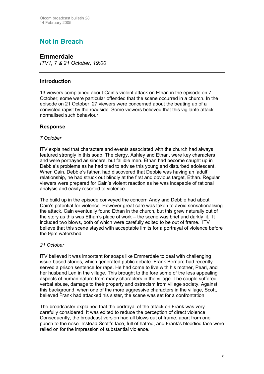# **Not in Breach**

#### **Emmerdale**

*ITV1, 7 & 21 October, 19:00* 

#### **Introduction**

13 viewers complained about Cain's violent attack on Ethan in the episode on 7 October; some were particular offended that the scene occurred in a church. In the episode on 21 October, 27 viewers were concerned about the beating up of a convicted rapist by the roadside. Some viewers believed that this vigilante attack normalised such behaviour.

#### **Response**

#### *7 October*

ITV explained that characters and events associated with the church had always featured strongly in this soap. The clergy, Ashley and Ethan, were key characters and were portrayed as sincere, but fallible men. Ethan had become caught up in Debbie's problems as he had tried to advise this young and disturbed adolescent. When Cain, Debbie's father, had discovered that Debbie was having an 'adult' relationship, he had struck out blindly at the first and obvious target, Ethan. Regular viewers were prepared for Cain's violent reaction as he was incapable of rational analysis and easily resorted to violence.

The build up in the episode conveyed the concern Andy and Debbie had about Cain's potential for violence. However great care was taken to avoid sensationalising the attack. Cain eventually found Ethan in the church, but this grew naturally out of the story as this was Ethan's place of work – the scene was brief and darkly lit. It included two blows, both of which were carefully edited to be out of frame. ITV believe that this scene stayed with acceptable limits for a portrayal of violence before the 9pm watershed.

#### *21 October*

ITV believed it was important for soaps like Emmerdale to deal with challenging issue-based stories, which generated public debate. Frank Bernard had recently served a prison sentence for rape. He had come to live with his mother, Pearl, and her husband Len in the village. This brought to the fore some of the less appealing aspects of human nature from many characters in the village. The couple suffered verbal abuse, damage to their property and ostracism from village society. Against this background, when one of the more aggressive characters in the village, Scott, believed Frank had attacked his sister, the scene was set for a confrontation.

The broadcaster explained that the portrayal of the attack on Frank was very carefully considered. It was edited to reduce the perception of direct violence. Consequently, the broadcast version had all blows out of frame, apart from one punch to the nose. Instead Scott's face, full of hatred, and Frank's bloodied face were relied on for the impression of substantial violence.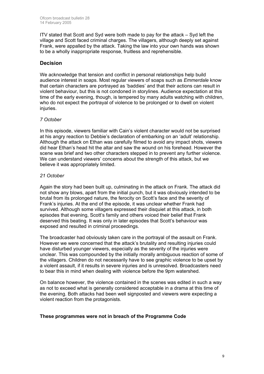ITV stated that Scott and Syd were both made to pay for the attack – Syd left the village and Scott faced criminal charges. The villagers, although deeply set against Frank, were appalled by the attack. Taking the law into your own hands was shown to be a wholly inappropriate response, fruitless and reprehensible.

#### **Decision**

We acknowledge that tension and conflict in personal relationships help build audience interest in soaps. Most regular viewers of soaps such as *Emmerdale* know that certain characters are portrayed as 'baddies' and that their actions can result in violent behaviour, but this is not condoned in storylines. Audience expectation at this time of the early evening, though, is tempered by many adults watching with children, who do not expect the portrayal of violence to be prolonged or to dwell on violent injuries.

#### *7 October*

In this episode, viewers familiar with Cain's violent character would not be surprised at his angry reaction to Debbie's declaration of embarking on an 'adult' relationship. Although the attack on Ethan was carefully filmed to avoid any impact shots, viewers did hear Ethan's head hit the altar and saw the wound on his forehead. However the scene was brief and two other characters stepped in to prevent any further violence. We can understand viewers' concerns about the strength of this attack, but we believe it was appropriately limited.

#### *21 October*

Again the story had been built up, culminating in the attack on Frank. The attack did not show any blows, apart from the initial punch, but it was obviously intended to be brutal from its prolonged nature, the ferocity on Scott's face and the severity of Frank's injuries. At the end of the episode, it was unclear whether Frank had survived. Although some villagers expressed their disquiet at this attack, in both episodes that evening, Scott's family and others voiced their belief that Frank deserved this beating. It was only in later episodes that Scott's behaviour was exposed and resulted in criminal proceedings.

The broadcaster had obviously taken care in the portrayal of the assault on Frank. However we were concerned that the attack's brutality and resulting injuries could have disturbed younger viewers, especially as the severity of the injuries were unclear. This was compounded by the initially morally ambiguous reaction of some of the villagers. Children do not necessarily have to see graphic violence to be upset by a violent assault, if it results in severe injuries and is unresolved. Broadcasters need to bear this in mind when dealing with violence before the 9pm watershed.

On balance however, the violence contained in the scenes was edited in such a way as not to exceed what is generally considered acceptable in a drama at this time of the evening. Both attacks had been well signposted and viewers were expecting a violent reaction from the protagonists.

#### **These programmes were not in breach of the Programme Code**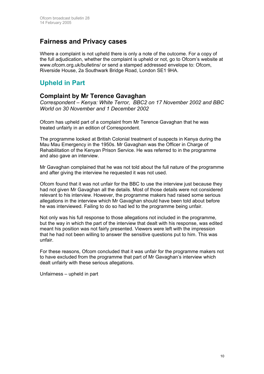### **Fairness and Privacy cases**

Where a complaint is not upheld there is only a note of the outcome. For a copy of the full adjudication, whether the complaint is upheld or not, go to Ofcom's website at [www.ofcom.org.uk/bulletins/](http://www.ofcom.org.uk/bulletins/) or send a stamped addressed envelope to: Ofcom, Riverside House, 2a Southwark Bridge Road, London SE1 9HA.

# **Upheld in Part**

### **Complaint by Mr Terence Gavaghan**

*Correspondent – Kenya: White Terror, BBC2 on 17 November 2002 and BBC World on 30 November and 1 December 2002* 

Ofcom has upheld part of a complaint from Mr Terence Gavaghan that he was treated unfairly in an edition of Correspondent.

The programme looked at British Colonial treatment of suspects in Kenya during the Mau Mau Emergency in the 1950s. Mr Gavaghan was the Officer in Charge of Rehabilitation of the Kenyan Prison Service. He was referred to in the programme and also gave an interview.

Mr Gavaghan complained that he was not told about the full nature of the programme and after giving the interview he requested it was not used.

Ofcom found that it was not unfair for the BBC to use the interview just because they had not given Mr Gavaghan all the details. Most of those details were not considered relevant to his interview. However, the programme makers had raised some serious allegations in the interview which Mr Gavaghan should have been told about before he was interviewed. Failing to do so had led to the programme being unfair.

Not only was his full response to those allegations not included in the programme, but the way in which the part of the interview that dealt with his response, was edited meant his position was not fairly presented. Viewers were left with the impression that he had not been willing to answer the sensitive questions put to him. This was unfair.

For these reasons, Ofcom concluded that it was unfair for the programme makers not to have excluded from the programme that part of Mr Gavaghan's interview which dealt unfairly with these serious allegations.

Unfairness – upheld in part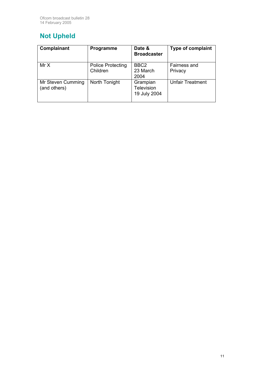# **Not Upheld**

| Complainant                       | Programme                            | Date &<br><b>Broadcaster</b>                  | <b>Type of complaint</b> |
|-----------------------------------|--------------------------------------|-----------------------------------------------|--------------------------|
| Mr X                              | <b>Police Protecting</b><br>Children | BBC <sub>2</sub><br>23 March<br>2004          | Fairness and<br>Privacy  |
| Mr Steven Cumming<br>(and others) | North Tonight                        | Grampian<br><b>Television</b><br>19 July 2004 | <b>Unfair Treatment</b>  |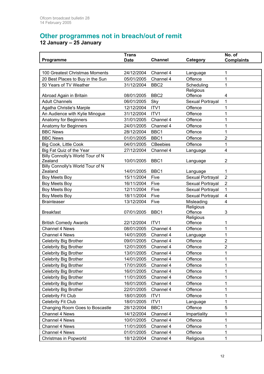# **Other programmes not in breach/out of remit**

**12 January – 25 January**

| Programme                                   | <b>Trans</b><br><b>Date</b> | <b>Channel</b>   | Category         | No. of<br><b>Complaints</b> |
|---------------------------------------------|-----------------------------|------------------|------------------|-----------------------------|
|                                             |                             |                  |                  |                             |
| 100 Greatest Christmas Moments              | 24/12/2004                  | Channel 4        | Language         | 1                           |
| 20 Best Places to Buy in the Sun            | 05/01/2005                  | Channel 4        | Offence          | 1                           |
| 50 Years of TV Weather                      | 31/12/2004                  | BBC <sub>2</sub> | Scheduling       | 1                           |
|                                             |                             |                  | Religious        |                             |
| Abroad Again in Britain                     | 08/01/2005                  | BBC <sub>2</sub> | Offence          | 4                           |
| <b>Adult Channels</b>                       | 06/01/2005                  | Sky              | Sexual Portrayal | 1                           |
| Agatha Christie's Marple                    | 12/12/2004                  | ITV1             | Offence          | 1                           |
| An Audience with Kylie Minogue              | 31/12/2004                  | ITV1             | Offence          | 1                           |
| Anatomy for Beginners                       | 31/01/2005                  | Channel 4        | Offence          | 1                           |
| Anatomy for Beginners                       | 24/01/2005                  | Channel 4        | Offence          | $\mathbf 1$                 |
| <b>BBC News</b>                             | 28/12/2004                  | BBC1             | Offence          | 1                           |
| <b>BBC News</b>                             | 01/01/2005                  | BBC1             | Offence          | $\overline{2}$              |
| Big Cook, Little Cook                       | 04/01/2005                  | <b>CBeebies</b>  | Offence          | 1                           |
| Big Fat Quiz of the Year                    | 27/12/2004                  | Channel 4        | Language         | $\overline{\mathbf{4}}$     |
| Billy Connolly's World Tour of N            |                             |                  |                  |                             |
| Zealand                                     | 10/01/2005                  | BBC1             | Language         | $\overline{2}$              |
| Billy Connolly's World Tour of N<br>Zealand | 14/01/2005                  | BBC <sub>1</sub> | Language         | 1                           |
| Boy Meets Boy                               | 15/11/2004                  | Five             | Sexual Portrayal | $\overline{2}$              |
| Boy Meets Boy                               | 16/11/2004                  | Five             | Sexual Portrayal | $\overline{2}$              |
| Boy Meets Boy                               | 12/11/2004                  | Five             | Sexual Portrayal | 1                           |
| <b>Boy Meets Boy</b>                        | 18/11/2004                  | Five             | Sexual Portrayal | $\overline{\mathbf{4}}$     |
| <b>Brainteaser</b>                          | 13/12/2004                  | Five             | Misleading       | $\overline{4}$              |
|                                             |                             |                  | Religious        |                             |
| <b>Breakfast</b>                            | 07/01/2005                  | BBC1             | Offence          | 3                           |
|                                             |                             |                  | Religious        |                             |
| <b>British Comedy Awards</b>                | 22/12/2004                  | ITV <sub>1</sub> | Offence          | 1                           |
| Channel 4 News                              | 08/01/2005                  | Channel 4        | Offence          | 1                           |
| Channel 4 News                              | 14/01/2005                  | Channel 4        | Language         | 1                           |
| <b>Celebrity Big Brother</b>                | 09/01/2005                  | Channel 4        | Offence          | $\overline{2}$              |
| <b>Celebrity Big Brother</b>                | 12/01/2005                  | Channel 4        | Offence          | $\overline{2}$              |
| Celebrity Big Brother                       | 13/01/2005                  | Channel 4        | Offence          | 1                           |
| Celebrity Big Brother                       | 14/01/2005                  | Channel 4        | Offence          | 1                           |
| Celebrity Big Brother                       | 17/01/2005                  | Channel 4        | Offence          | 1                           |
| Celebrity Big Brother                       | 16/01/2005                  | Channel 4        | Offence          | 1                           |
| Celebrity Big Brother                       | 11/01/2005                  | Channel 4        | Offence          | 1                           |
| Celebrity Big Brother                       | 16/01/2005                  | Channel 4        | Offence          | 1                           |
| Celebrity Big Brother                       | 22/01/2005                  | Channel 4        | Offence          | 1                           |
| Celebrity Fit Club                          | 18/01/2005                  | ITV1             | Offence          | 1                           |
| <b>Celebrity Fit Club</b>                   | 18/01/2005                  | ITV1             | Language         | 1                           |
| Changing Room Goes to Boscastle             | 28/12/2004                  | BBC1             | Offence          | 5                           |
| Channel 4 News                              | 14/12/2004                  | Channel 4        | Impartiality     | 1                           |
| Channel 4 News                              | 10/01/2005                  | Channel 4        | Offence          | 1                           |
| Channel 4 News                              | 11/01/2005                  | Channel 4        | Offence          | 1                           |
| Channel 4 News                              | 01/01/2005                  | Channel 4        | Offence          | $\mathbf 1$                 |
| Christmas in Popworld                       | 18/12/2004                  | Channel 4        | Religious        | 1                           |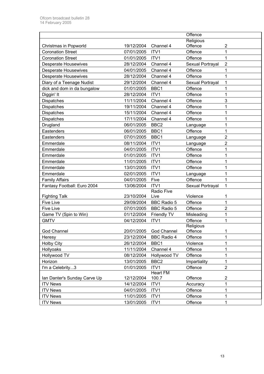|                              |            |                        | Offence          |                  |
|------------------------------|------------|------------------------|------------------|------------------|
|                              |            |                        | Religious        |                  |
| Christmas in Popworld        | 19/12/2004 | Channel 4              | Offence          | $\boldsymbol{2}$ |
| <b>Coronation Street</b>     | 07/01/2005 | ITV1                   | Offence          | 1                |
| <b>Coronation Street</b>     | 01/01/2005 | ITV1                   | Offence          | 1                |
| <b>Desperate Housewives</b>  | 28/12/2004 | Channel 4              | Sexual Portrayal | $\overline{2}$   |
| <b>Desperate Housewives</b>  | 04/01/2005 | Channel 4              | Offence          | 1                |
| <b>Desperate Housewives</b>  | 28/12/2004 | Channel 4              | Offence          | 1                |
| Diary of a Teenage Nudist    | 29/12/2004 | Channel 4              | Sexual Portrayal | 1                |
| dick and dom in da bungalow  | 01/01/2005 | BBC1                   | Offence          | 1                |
| Diggin' It                   | 28/12/2004 | ITV1                   | Offence          | 1                |
| <b>Dispatches</b>            | 11/11/2004 | Channel 4              | Offence          | 3                |
| <b>Dispatches</b>            | 19/11/2004 | Channel 4              | Offence          | 1                |
| <b>Dispatches</b>            | 15/11/2004 | Channel 4              | Offence          | 1                |
| Dispatches                   | 17/11/2004 | Channel 4              | Offence          | 1                |
| Drugland                     | 06/01/2005 | BBC <sub>2</sub>       | Language         | 1                |
| Eastenders                   | 06/01/2005 | BBC1                   | Offence          | 1                |
| Eastenders                   | 07/01/2005 | BBC1                   | Language         | 2                |
| Emmerdale                    | 08/11/2004 | ITV1                   | Language         | $\overline{c}$   |
| Emmerdale                    | 04/01/2005 | ITV1                   | Offence          | 1                |
| Emmerdale                    | 01/01/2005 | ITV1                   | Offence          | 1                |
| Emmerdale                    | 11/01/2005 | ITV1                   | Offence          | 1                |
| Emmerdale                    | 13/01/2005 | ITV1                   | Offence          | 1                |
| Emmerdale                    | 02/01/2005 | ITV1                   | Language         | 1                |
| <b>Family Affairs</b>        | 04/01/2005 | Five                   | Offence          | 1                |
| Fantasy Football: Euro 2004  | 13/06/2004 | ITV1                   | Sexual Portrayal | 1                |
|                              |            | Radio Five             |                  |                  |
| <b>Fighting Talk</b>         | 23/10/2004 | Live                   | Violence         | 1                |
| <b>Five Live</b>             | 29/09/2004 | <b>BBC Radio 5</b>     | Offence          | 1                |
| <b>Five Live</b>             | 07/01/2005 | <b>BBC Radio 5</b>     | Offence          | $\overline{2}$   |
| Game TV (Spin to Win)        | 01/12/2004 | Friendly TV            | Misleading       | 1                |
| <b>GMTV</b>                  | 04/12/2004 | ITV1                   | Offence          | 1                |
|                              |            |                        | Religious        |                  |
| God Channel                  |            | 20/01/2005 God Channel | Offence          | 1                |
| Heresy                       | 23/12/2004 | <b>BBC Radio 4</b>     | Offence          |                  |
| <b>Holby City</b>            | 26/12/2004 | BBC1                   | Violence         |                  |
| Hollyoaks                    | 11/11/2004 | Channel 4              | Offence          | 1                |
| Hollywood TV                 | 08/12/2004 | Hollywood TV           | Offence          | 1                |
| Horizon                      | 13/01/2005 | BBC <sub>2</sub>       | Impartiality     | 1                |
| I'm a Celebrity3             | 01/01/2005 | ITV1                   | Offence          | $\overline{2}$   |
|                              |            | <b>Heart FM</b>        |                  |                  |
| Ian Danter's Sunday Carve Up | 12/12/2004 | 100.7                  | Offence          | 2                |
| <b>ITV News</b>              | 14/12/2004 | ITV1                   | Accuracy         | 1                |
| <b>ITV News</b>              | 04/01/2005 | ITV1                   | Offence          | 1                |
| <b>ITV News</b>              | 11/01/2005 | ITV1                   | Offence          | 1                |
| <b>ITV News</b>              | 13/01/2005 | ITV1                   | Offence          | 1                |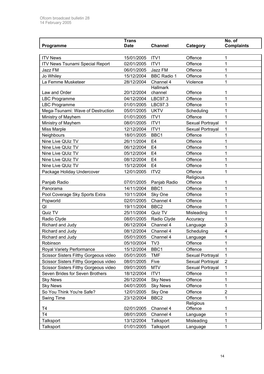|                                        | <b>Trans</b> |                              |                  | No. of            |
|----------------------------------------|--------------|------------------------------|------------------|-------------------|
| Programme                              | <b>Date</b>  | <b>Channel</b>               | Category         | <b>Complaints</b> |
|                                        |              |                              |                  |                   |
| <b>ITV News</b>                        | 15/01/2005   | ITV1                         | Offence          | 1                 |
| <b>ITV News Tsunami Special Report</b> | 02/01/2005   | ITV1                         | Offence          | 1                 |
| Jazz FM                                | 06/01/2005   | Jazz FM                      | Offence          | 1                 |
| Jo Whiley                              | 15/12/2004   | <b>BBC Radio 1</b>           | Offence          | 1                 |
| La Femme Musketeer                     | 28/12/2004   | Channel 4<br><b>Hallmark</b> | Violence         | 1                 |
| Law and Order                          | 20/12/2004   | channel                      | Offence          | 1                 |
| LBC Programme                          | 04/12/2004   | LBC97.3                      | Offence          | 1                 |
| <b>LBC Programme</b>                   | 01/01/2005   | LBC97.3                      | Offence          | 1                 |
| Mega-Tsunami: Wave of Destruction      | 05/01/2005   | <b>UKTV</b>                  | Scheduling       | 1                 |
| Ministry of Mayhem                     | 01/01/2005   | ITV1                         | Offence          | 1                 |
| Ministry of Mayhem                     | 08/01/2005   | ITV1                         | Sexual Portrayal | 1                 |
| <b>Miss Marple</b>                     | 12/12/2004   | ITV1                         | Sexual Portrayal | 1                 |
| Neighbours                             | 18/01/2005   | BBC1                         | Offence          | 1                 |
| Nine Live QUiz TV                      | 26/11/2004   | E <sub>4</sub>               | Offence          | 1                 |
| Nine Live QUiz TV                      | 06/12/2004   | E <sub>4</sub>               | Offence          | 1                 |
| Nine Live QUiz TV                      | 05/12/2004   | E <sub>4</sub>               | Offence          | 1                 |
| Nine Live QUiz TV                      | 08/12/2004   | E <sub>4</sub>               | Offence          | 1                 |
| Nine Live QUiz TV                      | 15/12/2004   | E <sub>4</sub>               | Offence          | 1                 |
| Package Holiday Undercover             | 12/01/2005   | ITV2                         | Offence          | 1                 |
|                                        |              |                              | Religious        |                   |
| Panjab Radio                           | 07/01/2005   | Panjab Radio                 | Offence          | 1                 |
| Panorama                               | 14/11/2004   | BBC1                         | Offence          | 1                 |
| Pool Coverage Sky Sports Extra         | 10/11/2004   | Sky One                      | Offence          | 1                 |
| Popworld                               | 02/01/2005   | Channel 4                    | Offence          | 1                 |
| QI                                     | 19/11/2004   | BBC <sub>2</sub>             | Offence          | 1                 |
| Quiz TV                                | 25/11/2004   | Quiz TV                      | Misleading       | 1                 |
| Radio Clyde                            | 08/01/2005   | Radio Clyde                  | Accuracy         | 1                 |
| Richard and Judy                       | 06/12/2004   | Channel 4                    | Language         | 3                 |
| Richard and Judy                       | 08/12/2004   | Channel 4                    | Scheduling       | 4                 |
| Richard and Judy                       | 05/01/2005   | Channel 4                    | Language         |                   |
| Robinson                               | 05/10/2004   | TV <sub>3</sub>              | Offence          | 1                 |
| Royal Variety Performance              | 15/12/2004   | BBC1                         | Offence          | 1                 |
| Scissor Sisters Filthy Gorgeous video  | 05/01/2005   | <b>TMF</b>                   | Sexual Portrayal | $\mathbf{1}$      |
| Scissor Sisters Filthy Gorgeous video  | 08/01/2005   | Five                         | Sexual Portrayal | $\overline{2}$    |
| Scissor Sisters Filthy Gorgeous video  | 09/01/2005   | <b>MTV</b>                   | Sexual Portrayal | 1                 |
| Seven Brides for Seven Brothers        | 18/12/2004   | ITV1                         | Offence          | 1                 |
| <b>Sky News</b>                        | 26/12/2004   | <b>Sky News</b>              | Offence          | 1                 |
| <b>Sky News</b>                        | 04/01/2005   | <b>Sky News</b>              | Offence          | 1                 |
| So You Think You're Safe?              | 12/01/2005   | Sky One                      | Offence          | $\overline{2}$    |
| Swing Time                             | 23/12/2004   | BBC <sub>2</sub>             | Offence          | 1                 |
|                                        |              |                              | Religious        |                   |
| T <sub>4</sub>                         | 02/01/2005   | Channel 4                    | Offence          |                   |
| T <sub>4</sub>                         | 08/01/2005   | Channel 4                    | Language         | 1                 |
| Talksport                              | 13/12/2004   | Talksport                    | Misleading       | 1                 |
| Talksport                              | 01/01/2005   | Talksport                    | Language         | 1                 |